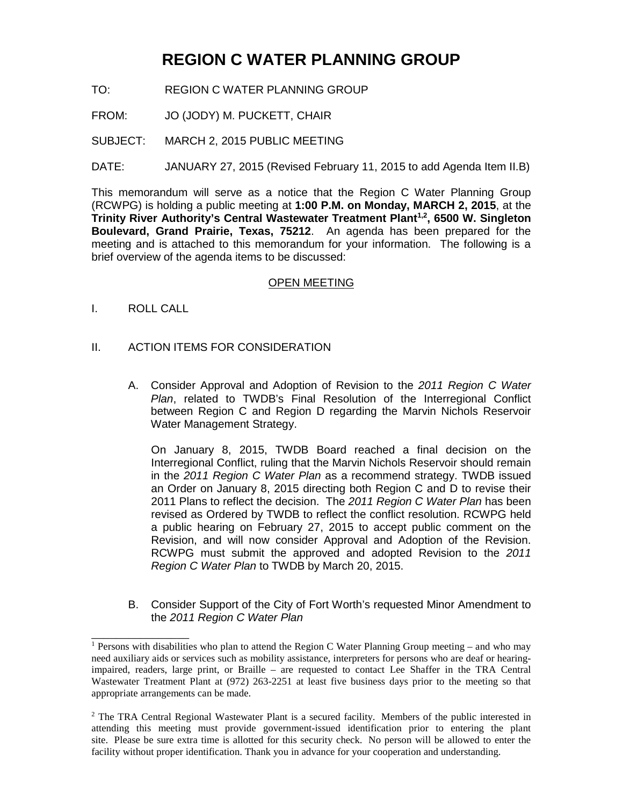## **REGION C WATER PLANNING GROUP**

- TO: REGION C WATER PLANNING GROUP
- FROM: JO (JODY) M. PUCKETT, CHAIR
- SUBJECT: MARCH 2, 2015 PUBLIC MEETING
- DATE: JANUARY 27, 2015 (Revised February 11, 2015 to add Agenda Item II.B)

This memorandum will serve as a notice that the Region C Water Planning Group (RCWPG) is holding a public meeting at **1:00 P.M. on Monday, MARCH 2, 2015**, at the **Trinity River Authority's Central Wastewater Treatment Plant 1,2, 6500 W. Singleton Boulevard, Grand Prairie, Texas, 75212**. An agenda has been prepared for the meeting and is attached to this memorandum for your information. The following is a brief overview of the agenda items to be discussed:

## OPEN MEETING

I. ROLL CALL

\_\_\_\_\_\_\_\_\_\_\_\_\_\_\_\_

- II. ACTION ITEMS FOR CONSIDERATION
	- A. Consider Approval and Adoption of Revision to the *2011 Region C Water Plan*, related to TWDB's Final Resolution of the Interregional Conflict between Region C and Region D regarding the Marvin Nichols Reservoir Water Management Strategy.

On January 8, 2015, TWDB Board reached a final decision on the Interregional Conflict, ruling that the Marvin Nichols Reservoir should remain in the *2011 Region C Water Plan* as a recommend strategy. TWDB issued an Order on January 8, 2015 directing both Region C and D to revise their 2011 Plans to reflect the decision. The *2011 Region C Water Plan* has been revised as Ordered by TWDB to reflect the conflict resolution. RCWPG held a public hearing on February 27, 2015 to accept public comment on the Revision, and will now consider Approval and Adoption of the Revision. RCWPG must submit the approved and adopted Revision to the *2011 Region C Water Plan* to TWDB by March 20, 2015.

B. Consider Support of the City of Fort Worth's requested Minor Amendment to the *2011 Region C Water Plan*

<sup>&</sup>lt;sup>1</sup> Persons with disabilities who plan to attend the Region C Water Planning Group meeting – and who may need auxiliary aids or services such as mobility assistance, interpreters for persons who are deaf or hearingimpaired, readers, large print, or Braille – are requested to contact Lee Shaffer in the TRA Central Wastewater Treatment Plant at (972) 263-2251 at least five business days prior to the meeting so that appropriate arrangements can be made.

 $2$  The TRA Central Regional Wastewater Plant is a secured facility. Members of the public interested in attending this meeting must provide government-issued identification prior to entering the plant site. Please be sure extra time is allotted for this security check. No person will be allowed to enter the facility without proper identification. Thank you in advance for your cooperation and understanding.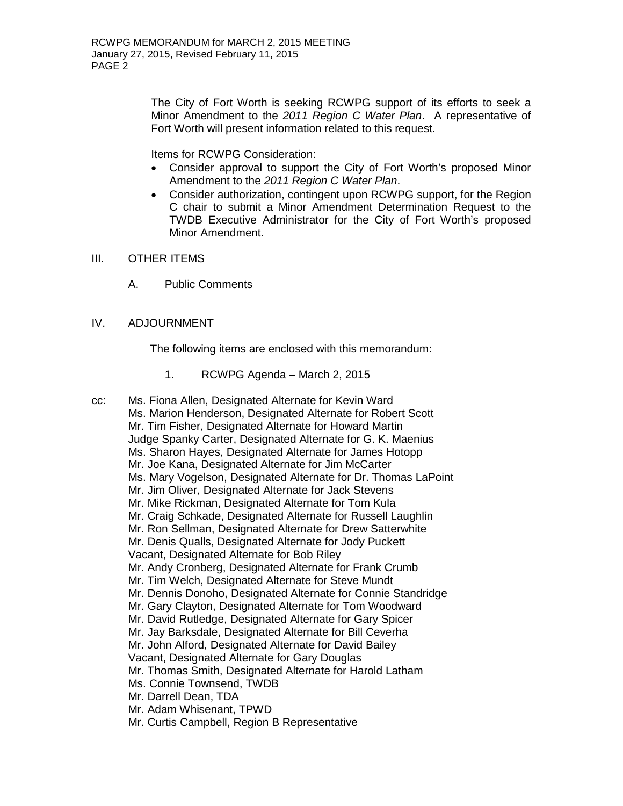The City of Fort Worth is seeking RCWPG support of its efforts to seek a Minor Amendment to the *2011 Region C Water Plan*. A representative of Fort Worth will present information related to this request.

Items for RCWPG Consideration:

- Consider approval to support the City of Fort Worth's proposed Minor Amendment to the *2011 Region C Water Plan*.
- Consider authorization, contingent upon RCWPG support, for the Region C chair to submit a Minor Amendment Determination Request to the TWDB Executive Administrator for the City of Fort Worth's proposed Minor Amendment.
- III. OTHER ITEMS
	- A. Public Comments

## IV. ADJOURNMENT

The following items are enclosed with this memorandum:

- 1. RCWPG Agenda March 2, 2015
- cc: Ms. Fiona Allen, Designated Alternate for Kevin Ward Ms. Marion Henderson, Designated Alternate for Robert Scott Mr. Tim Fisher, Designated Alternate for Howard Martin Judge Spanky Carter, Designated Alternate for G. K. Maenius Ms. Sharon Hayes, Designated Alternate for James Hotopp Mr. Joe Kana, Designated Alternate for Jim McCarter Ms. Mary Vogelson, Designated Alternate for Dr. Thomas LaPoint Mr. Jim Oliver, Designated Alternate for Jack Stevens Mr. Mike Rickman, Designated Alternate for Tom Kula Mr. Craig Schkade, Designated Alternate for Russell Laughlin Mr. Ron Sellman, Designated Alternate for Drew Satterwhite Mr. Denis Qualls, Designated Alternate for Jody Puckett Vacant, Designated Alternate for Bob Riley Mr. Andy Cronberg, Designated Alternate for Frank Crumb Mr. Tim Welch, Designated Alternate for Steve Mundt Mr. Dennis Donoho, Designated Alternate for Connie Standridge Mr. Gary Clayton, Designated Alternate for Tom Woodward Mr. David Rutledge, Designated Alternate for Gary Spicer Mr. Jay Barksdale, Designated Alternate for Bill Ceverha Mr. John Alford, Designated Alternate for David Bailey Vacant, Designated Alternate for Gary Douglas Mr. Thomas Smith, Designated Alternate for Harold Latham Ms. Connie Townsend, TWDB Mr. Darrell Dean, TDA Mr. Adam Whisenant, TPWD Mr. Curtis Campbell, Region B Representative